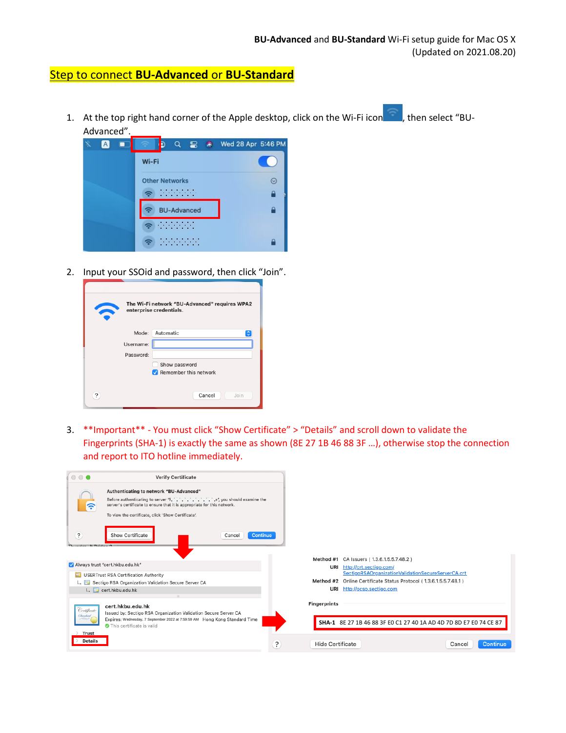## Step to connect **BU-Advanced** or **BU-Standard**

1. At the top right hand corner of the Apple desktop, click on the Wi-Fi icon , then select "BU-Advanced".



2. Input your SSOid and password, then click "Join".

| The Wi-Fi network "BU-Advanced" requires WPA2<br>enterprise credentials. |                            |  |  |  |  |
|--------------------------------------------------------------------------|----------------------------|--|--|--|--|
|                                                                          | Automatic<br>Mode:<br>IC.  |  |  |  |  |
| Username:                                                                |                            |  |  |  |  |
| Password:                                                                |                            |  |  |  |  |
|                                                                          | Show password              |  |  |  |  |
|                                                                          | Remember this network<br>M |  |  |  |  |
| ?                                                                        | Cancel<br>Join             |  |  |  |  |

3. \*\*Important\*\* - You must click "Show Certificate" > "Details" and scroll down to validate the Fingerprints (SHA-1) is exactly the same as shown (8E 27 1B 46 88 3F …), otherwise stop the connection and report to ITO hotline immediately.

| $\circ \circ \bullet$                         | <b>Verify Certificate</b>                                                                                                                                                                                                                            |                              |                                                                   |                    |
|-----------------------------------------------|------------------------------------------------------------------------------------------------------------------------------------------------------------------------------------------------------------------------------------------------------|------------------------------|-------------------------------------------------------------------|--------------------|
|                                               | Authenticating to network "BU-Advanced"<br>Before authenticating to server "Fermionication", you should examine the<br>server's certificate to ensure that it is appropriate for this network.<br>To view the certificate, click 'Show Certificate'. |                              |                                                                   |                    |
| $\overline{?}$                                | Continue<br>Show Certificate<br>Cancel                                                                                                                                                                                                               |                              |                                                                   |                    |
|                                               |                                                                                                                                                                                                                                                      |                              | Method #1 CA Issuers (1.3.6.1.5.5.7.48.2)                         |                    |
| Always trust "cert.hkbu.edu.hk"               |                                                                                                                                                                                                                                                      | URI                          | http://crt.sectigo.com/                                           |                    |
|                                               | USERTrust RSA Certification Authority                                                                                                                                                                                                                |                              | SectigoRSAOrganizationValidationSecureServerCA.crt                |                    |
|                                               | Sectigo RSA Organization Validation Secure Server CA                                                                                                                                                                                                 |                              | Method #2 Online Certificate Status Protocol (1.3.6.1.5.5.7.48.1) |                    |
|                                               | L. cert.hkbu.edu.hk                                                                                                                                                                                                                                  | URI                          | http://ocsp.sectigo.com                                           |                    |
| Certificate<br><b>Trust</b><br><b>Details</b> | cert.hkbu.edu.hk<br>Issued by: Sectigo RSA Organization Validation Secure Server CA<br>Expires: Wednesday, 7 September 2022 at 7:59:59 AM Hong Kong Standard Time<br>This certificate is valid                                                       | <b>Fingerprints</b>          | SHA-1 8E 27 1B 46 88 3F E0 C1 27 40 1A AD 4D 7D 8D E7 E0 74 CE 87 |                    |
|                                               |                                                                                                                                                                                                                                                      | ?<br><b>Hide Certificate</b> |                                                                   | Continue<br>Cancel |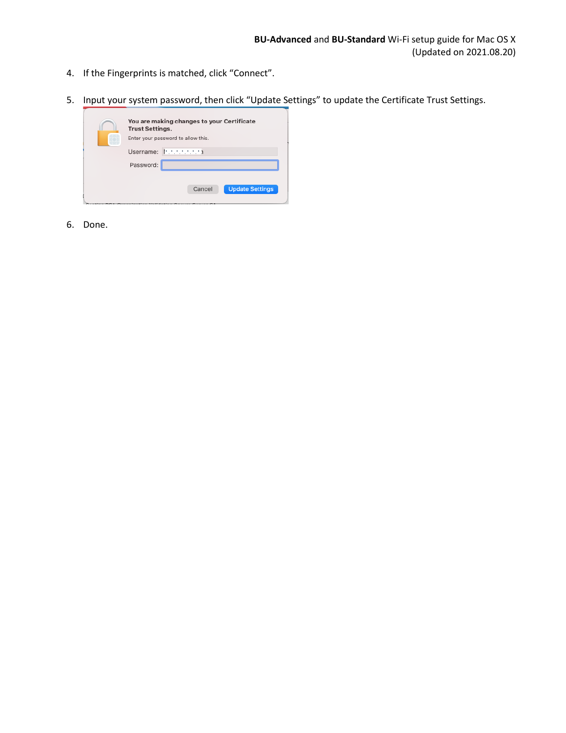- 4. If the Fingerprints is matched, click "Connect".
- 5. Input your system password, then click "Update Settings" to update the Certificate Trust Settings.



6. Done.